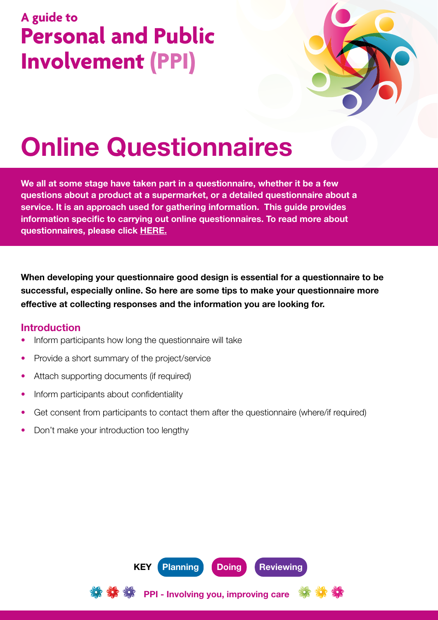## **A guide to Personal and Public Involvement (PPI)**



# Online Questionnaires

We all at some stage have taken part in a questionnaire, whether it be a few questions about a product at a supermarket, or a detailed questionnaire about a service. It is an approach used for gathering information. This guide provides information specific to carrying out online questionnaires. To read more about questionnaires, please click [HERE.](http://engage.hscni.net/get-involved/involving-people/methods-of-involvement/questionnaires/)

When developing your questionnaire good design is essential for a questionnaire to be successful, especially online. So here are some tips to make your questionnaire more effective at collecting responses and the information you are looking for.

#### Introduction

- Inform participants how long the questionnaire will take
- Provide a short summary of the project/service
- Attach supporting documents (if required)
- Inform participants about confidentiality
- Get consent from participants to contact them after the questionnaire (where/if required)

PPI - Involving you, improving care

KEY Planning Doing Reviewing

• Don't make your introduction too lengthy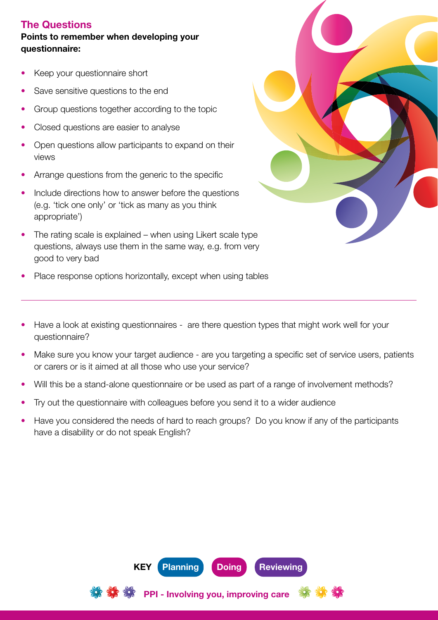#### The Questions

#### Points to remember when developing your questionnaire:

- Keep your questionnaire short
- Save sensitive questions to the end
- Group questions together according to the topic
- Closed questions are easier to analyse
- Open questions allow participants to expand on their views
- Arrange questions from the generic to the specific
- Include directions how to answer before the questions (e.g. 'tick one only' or 'tick as many as you think appropriate')
- The rating scale is explained when using Likert scale type questions, always use them in the same way, e.g. from very good to very bad
- Place response options horizontally, except when using tables
- Have a look at existing questionnaires are there question types that might work well for your questionnaire?
- Make sure you know your target audience are you targeting a specific set of service users, patients or carers or is it aimed at all those who use your service?
- Will this be a stand-alone questionnaire or be used as part of a range of involvement methods?
- Try out the questionnaire with colleagues before you send it to a wider audience
- Have you considered the needs of hard to reach groups? Do you know if any of the participants have a disability or do not speak English?

PPI - Involving you, improving care

KEY Planning Doing Reviewing